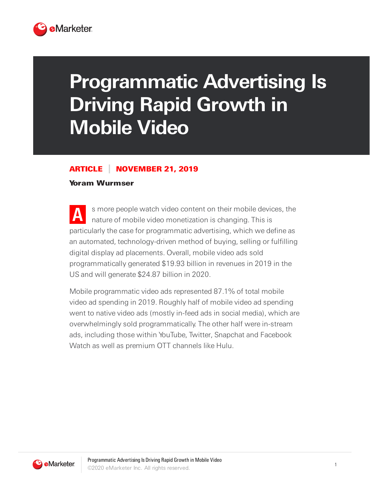

## **Programmatic Advertising Is Driving Rapid Growth in Mobile Video**

## ARTICLE NOVEMBER 21, 2019

## Yoram Wurmser

**A** s more people watch video content on their mobile devices, the nature of mobile video monetization is changing. This is particularly the case for programmatic advertising, which we define as an automated, technology-driven method of buying, selling or fulfilling digital display ad placements. Overall, mobile video ads sold programmatically generated \$19.93 billion in revenues in 2019 in the US and will generate \$24.87 billion in 2020.

Mobile programmatic video ads represented 87.1% of total mobile video ad spending in 2019. Roughly half of mobile video ad spending went to native video ads (mostly in-feed ads in social media), which are overwhelmingly sold programmatically. The other half were in-stream ads, including those within YouTube, Twitter, Snapchat and Facebook Watch as well as premium OTT channels like Hulu.

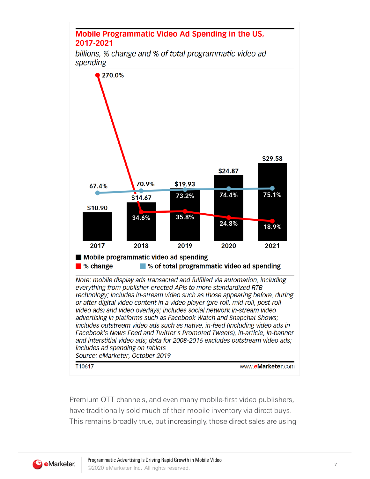## **Mobile Programmatic Video Ad Spending in the US,** 2017-2021

billions, % change and % of total programmatic video ad spending



Premium OTT channels, and even many mobile-first video publishers, have traditionally sold much of their mobile inventory via direct buys. This remains broadly true, but increasingly, those direct sales are using

**3** eMarketer.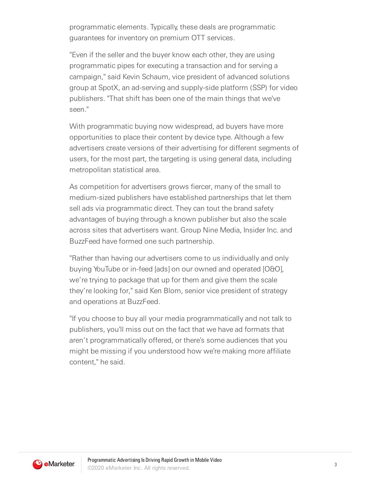programmatic elements. Typically, these deals are programmatic guarantees for inventory on premium OTT services.

"Even if the seller and the buyer know each other, they are using programmatic pipes for executing a transaction and for serving a campaign," said Kevin Schaum, vice president of advanced solutions group at SpotX, an ad-serving and supply-side platform (SSP) for video publishers. "That shift has been one of the main things that we've seen."

With programmatic buying now widespread, ad buyers have more opportunities to place their content by device type. Although a few advertisers create versions of their advertising for different segments of users, for the most part, the targeting is using general data, including metropolitan statistical area.

As competition for advertisers grows fiercer, many of the small to medium-sized publishers have established partnerships that let them sell ads via programmatic direct. They can tout the brand safety advantages of buying through a known publisher but also the scale across sites that advertisers want. Group Nine Media, Insider Inc. and BuzzFeed have formed one such partnership.

"Rather than having our advertisers come to us individually and only buying YouTube or in-feed [ads] on our owned and operated [O&O], we're trying to package that up for them and give them the scale they're looking for," said Ken Blom, senior vice president of strategy and operations at BuzzFeed.

"If you choose to buy all your media programmatically and not talk to publishers, you'll miss out on the fact that we have ad formats that aren't programmatically offered, or there's some audiences that you might be missing if you understood how we're making more affiliate content," he said.